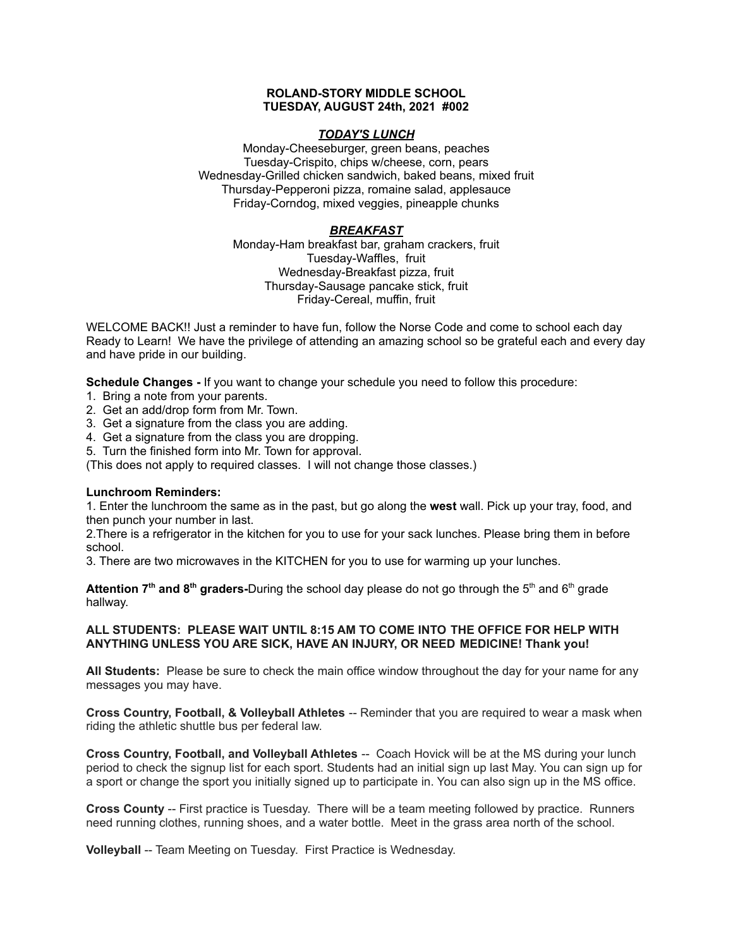### **ROLAND-STORY MIDDLE SCHOOL TUESDAY, AUGUST 24th, 2021 #002**

## *TODAY'S LUNCH*

Monday-Cheeseburger, green beans, peaches Tuesday-Crispito, chips w/cheese, corn, pears Wednesday-Grilled chicken sandwich, baked beans, mixed fruit Thursday-Pepperoni pizza, romaine salad, applesauce Friday-Corndog, mixed veggies, pineapple chunks

## *BREAKFAST*

Monday-Ham breakfast bar, graham crackers, fruit Tuesday-Waffles, fruit Wednesday-Breakfast pizza, fruit Thursday-Sausage pancake stick, fruit Friday-Cereal, muffin, fruit

WELCOME BACK!! Just a reminder to have fun, follow the Norse Code and come to school each day Ready to Learn! We have the privilege of attending an amazing school so be grateful each and every day and have pride in our building.

**Schedule Changes -** If you want to change your schedule you need to follow this procedure:

- 1. Bring a note from your parents.
- 2. Get an add/drop form from Mr. Town.
- 3. Get a signature from the class you are adding.
- 4. Get a signature from the class you are dropping.
- 5. Turn the finished form into Mr. Town for approval.

(This does not apply to required classes. I will not change those classes.)

### **Lunchroom Reminders:**

1. Enter the lunchroom the same as in the past, but go along the **west** wall. Pick up your tray, food, and then punch your number in last.

2.There is a refrigerator in the kitchen for you to use for your sack lunches. Please bring them in before school.

3. There are two microwaves in the KITCHEN for you to use for warming up your lunches.

**Attention 7<sup>th</sup> and 8<sup>th</sup> graders-During the school day please do not go through the 5<sup>th</sup> and 6<sup>th</sup> grade** hallway.

## **ALL STUDENTS: PLEASE WAIT UNTIL 8:15 AM TO COME INTO THE OFFICE FOR HELP WITH ANYTHING UNLESS YOU ARE SICK, HAVE AN INJURY, OR NEED MEDICINE! Thank you!**

**All Students:** Please be sure to check the main office window throughout the day for your name for any messages you may have.

**Cross Country, Football, & Volleyball Athletes** -- Reminder that you are required to wear a mask when riding the athletic shuttle bus per federal law.

**Cross Country, Football, and Volleyball Athletes** -- Coach Hovick will be at the MS during your lunch period to check the signup list for each sport. Students had an initial sign up last May. You can sign up for a sport or change the sport you initially signed up to participate in. You can also sign up in the MS office.

**Cross County** -- First practice is Tuesday. There will be a team meeting followed by practice. Runners need running clothes, running shoes, and a water bottle. Meet in the grass area north of the school.

**Volleyball** -- Team Meeting on Tuesday. First Practice is Wednesday.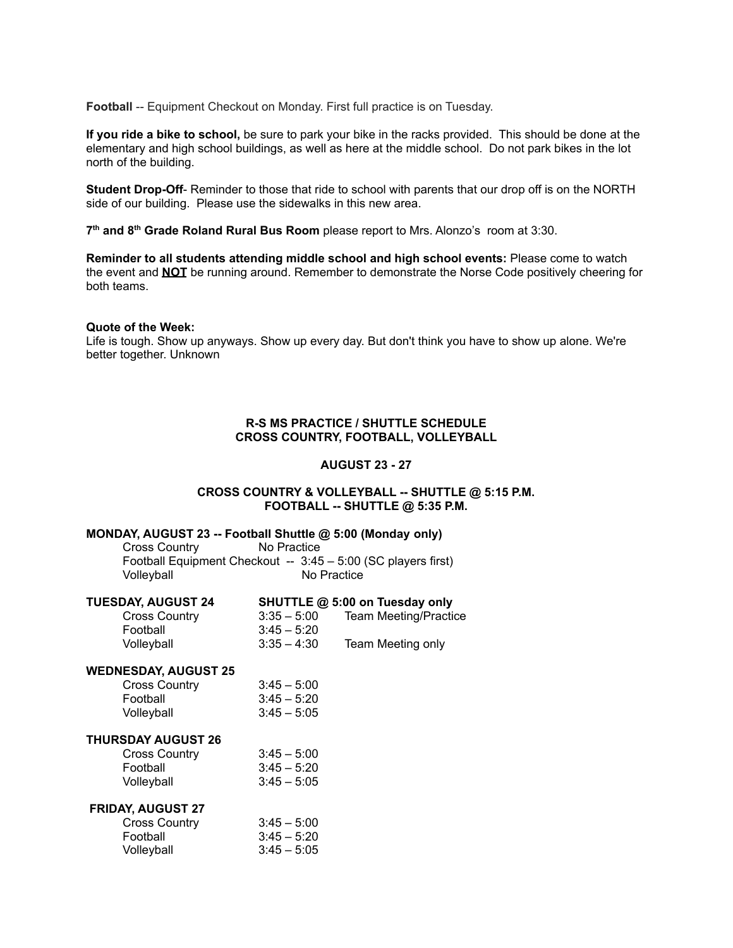**Football** -- Equipment Checkout on Monday. First full practice is on Tuesday.

**If you ride a bike to school,** be sure to park your bike in the racks provided. This should be done at the elementary and high school buildings, as well as here at the middle school. Do not park bikes in the lot north of the building.

**Student Drop-Off**- Reminder to those that ride to school with parents that our drop off is on the NORTH side of our building. Please use the sidewalks in this new area.

**7 th and 8 th Grade Roland Rural Bus Room** please report to Mrs. Alonzo's room at 3:30.

**Reminder to all students attending middle school and high school events:** Please come to watch the event and **NOT** be running around. Remember to demonstrate the Norse Code positively cheering for both teams.

#### **Quote of the Week:**

Life is tough. Show up anyways. Show up every day. But don't think you have to show up alone. We're better together. Unknown

## **R-S MS PRACTICE / SHUTTLE SCHEDULE CROSS COUNTRY, FOOTBALL, VOLLEYBALL**

#### **AUGUST 23 - 27**

#### **CROSS COUNTRY & VOLLEYBALL -- SHUTTLE @ 5:15 P.M. FOOTBALL -- SHUTTLE @ 5:35 P.M.**

#### **MONDAY, AUGUST 23 -- Football Shuttle @ 5:00 (Monday only)**

Cross Country No Practice Football Equipment Checkout -- 3:45 – 5:00 (SC players first)<br>Vollevball Mo Practice No Practice

| <b>TUESDAY, AUGUST 24</b>   |               | SHUTTLE @ 5:00 on Tuesday only |
|-----------------------------|---------------|--------------------------------|
| <b>Cross Country</b>        | $3:35 - 5:00$ | <b>Team Meeting/Practice</b>   |
| Football                    | $3:45 - 5:20$ |                                |
| Volleyball                  | $3:35 - 4:30$ | Team Meeting only              |
| <b>WEDNESDAY, AUGUST 25</b> |               |                                |
| <b>Cross Country</b>        | $3:45 - 5:00$ |                                |

# Football 3:45 – 5:20 Volleyball 3:45 – 5:05 **THURSDAY AUGUST 26** Cross Country 3:45 – 5:00 Football 3:45 – 5:20  $3:45 - 5:05$

| <b>VUIICYUAII</b>               | <u>ບ.40 – ບ.ບ</u> |                  |
|---------------------------------|-------------------|------------------|
| <b>FRIDAY, AUGUST 27</b>        |                   |                  |
| $C_{\text{max}} C_{\text{sum}}$ | 9.1E              | $F \cdot \Omega$ |

| <b>Cross Country</b> | $3:45 - 5:00$ |
|----------------------|---------------|
| Football             | $3:45 - 5:20$ |
| Volleyball           | $3:45 - 5:05$ |
|                      |               |